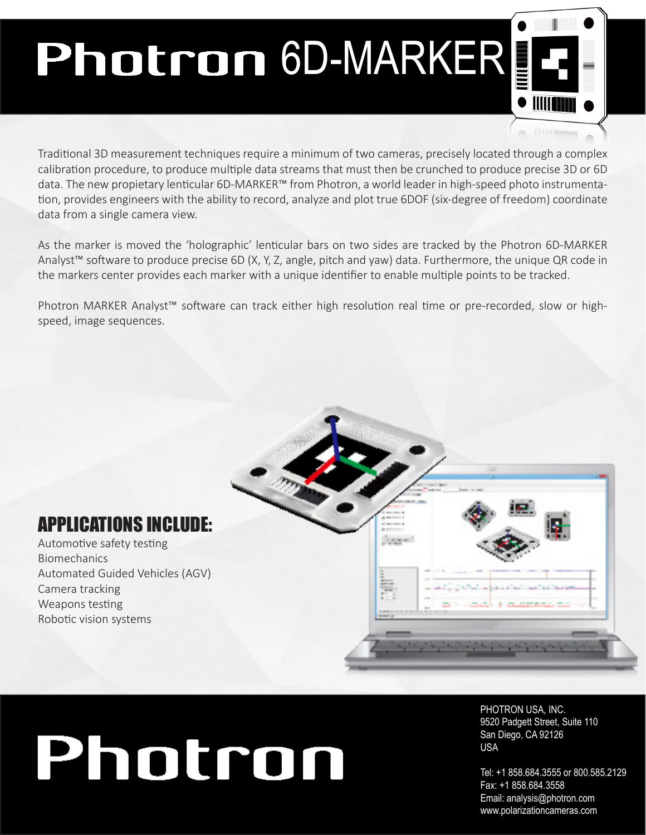## Photron 6D-MARKER

Traditonal 3D measurement techniques require a minimum of two cameras, precisely located through a complex calibration procedure, to produce multiple data streams that must then be crunched to produce precise 3D or 6D data. The new propietary lenticular 6D-MARKER™ from Photron, a world leader in high-speed photo instrumentation, provides engineers with the ability to record, analyze and plot true 6DOF (six-degree of freedom) coordinate data from a single camera view.

As the marker is moved the 'holographic' lenticular bars on two sides are tracked by the Photron 6D-MARKER Analyst™ sofware to produce precise 6D (X, Y, Z, angle, pitch and yaw) data. Furthermore, the unique QR code in the markers center provides each marker with a unique identifier to enable multiple points to be tracked.

Photron MARKER Analyst™ sofware can track either high resoluton real tme or pre-recorded, slow or highspeed, image sequences.



Automotive safety testing Biomechanics Automated Guided Vehicles (AGV) Camera tracking Weapons testing Robotic vision systems



## Photron

PHOTRON USA, INC. 9520 Padgett Street, Suite 110 San Diego, CA 92126 USA

Tel: +1 858.684.3555 or 800.585.2129 Fax: +1 858.684.3558 Email: analysis@photron.com www.polarizationcameras.com